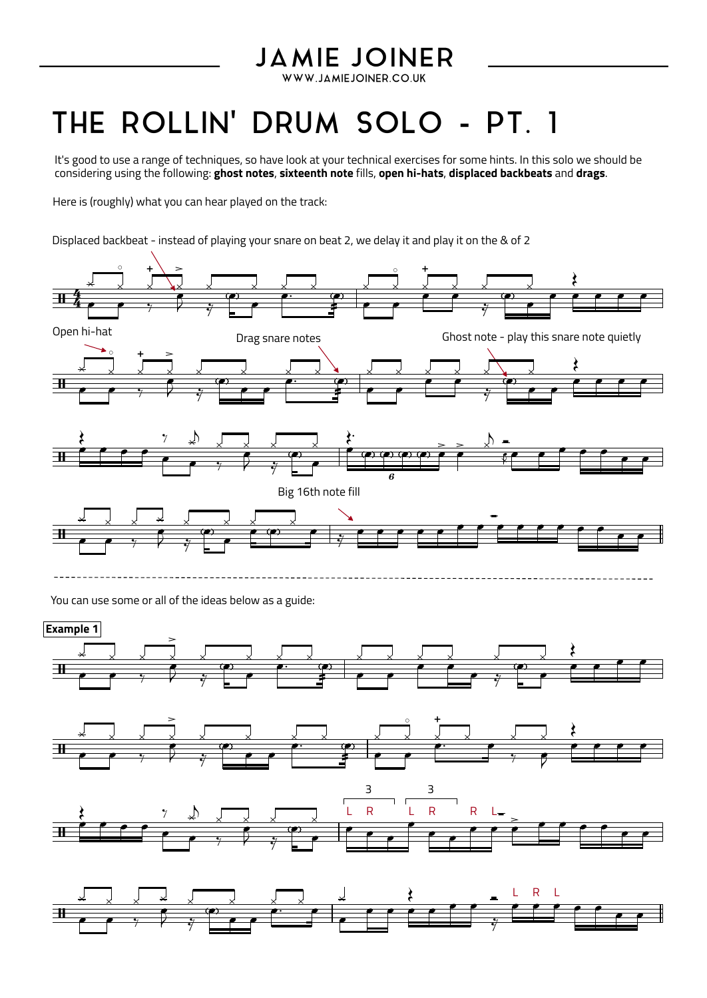## **JAMIE JOINER**

WWW.JAMIEJOINER.CO.UK

## THE ROLLIN' DRUM SOLO - PT. 1

It's good to use a range of techniques, so have look at your technical exercises for some hints. In this solo we should be considering using the following: **ghost notes**, **sixteenth note** fills, **open hi-hats**, **displaced backbeats** and **drags**.

Here is (roughly) what you can hear played on the track:

Displaced backbeat - instead of playing your snare on beat 2, we delay it and play it on the & of 2



You can use some or all of the ideas below as a guide: